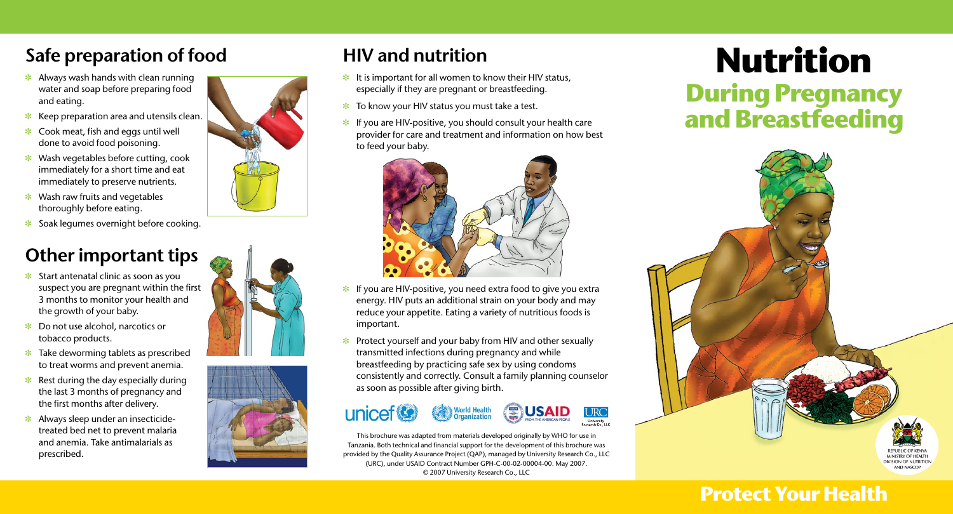- It is important for all women to know their HIV status, especially if they are pregnant or breastfeeding.
- $\ast$  To know your HIV status you must take a test.
- $\cdot$  If you are HIV-positive, you should consult your health care provider for care and treatment and information on how best to feed your baby.



## **Safe preparation of food HIV and nutrition**

- $\cdot$  Always wash hands with clean running water and soap before preparing food and eating.
- $\ast$  Keep preparation area and utensils clean.
- $\ast$  Cook meat, fish and eggs until well done to avoid food poisoning.
- $*$  Wash vegetables before cutting, cook immediately for a short time and eat immediately to preserve nutrients.
- $*$  Wash raw fruits and vegetables thoroughly before eating.
- $\ast$  Soak legumes overnight before cooking.

# **Nutrition During Pregnancy and Breastfeeding**

**MINISTRY OF HEALTH DIVISION OF NUTRITION AND NASCOP** 

- $\ast$  Start antenatal clinic as soon as you suspect you are pregnant within the first 3 months to monitor your health and the growth of your baby.
- $\ast$  Do not use alcohol, narcotics or tobacco products.
- $\ast$  Take deworming tablets as prescribed to treat worms and prevent anemia.
- $\ast$  Rest during the day especially during the last 3 months of pregnancy and the first months after delivery.
- $\ast$  Always sleep under an insecticidetreated bed net to prevent malaria and anemia. Take antimalarials as prescribed.







## **Other important tips**

- $\cdot$  If you are HIV-positive, you need extra food to give you extra energy. HIV puts an additional strain on your body and may reduce your appetite. Eating a variety of nutritious foods is important.
- $\cdot$  Protect yourself and your baby from HIV and other sexually transmitted infections during pregnancy and while breastfeeding by practicing safe sex by using condoms consistently and correctly. Consult a family planning counselor as soon as possible after giving birth.



### **Protect Your Health**

This brochure was adapted from materials developed originally by WHO for use in Tanzania. Both technical and financial support for the development of this brochure was provided by the Quality Assurance Project (QAP), managed by University Research Co., LLC (URC), under USAID Contract Number GPH-C-00-02-00004-00. May 2007. © 2007 University Research Co., LLC